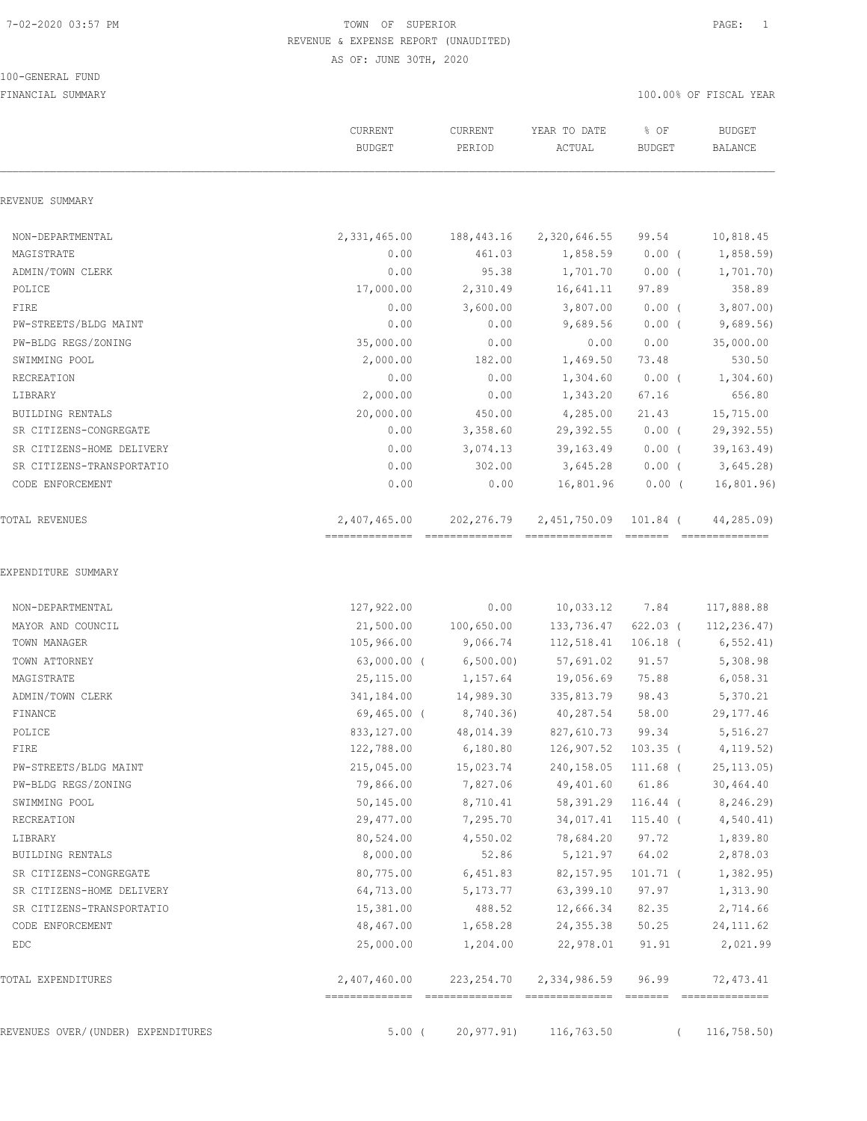100-GENERAL FUND

# 7-02-2020 03:57 PM TOWN OF SUPERIOR PAGE: 1 REVENUE & EXPENSE REPORT (UNAUDITED) AS OF: JUNE 30TH, 2020

|                                    | <b>CURRENT</b><br><b>BUDGET</b> | <b>CURRENT</b><br>PERIOD | YEAR TO DATE<br>ACTUAL | % OF<br><b>BUDGET</b> | <b>BUDGET</b><br><b>BALANCE</b> |
|------------------------------------|---------------------------------|--------------------------|------------------------|-----------------------|---------------------------------|
| REVENUE SUMMARY                    |                                 |                          |                        |                       |                                 |
| NON-DEPARTMENTAL                   | 2,331,465.00                    | 188,443.16               | 2,320,646.55           | 99.54                 | 10,818.45                       |
| MAGISTRATE                         | 0.00                            | 461.03                   | 1,858.59               | $0.00$ (              | 1,858.59)                       |
| ADMIN/TOWN CLERK                   | 0.00                            | 95.38                    | 1,701.70               | $0.00$ (              | 1,701.70)                       |
| POLICE                             | 17,000.00                       | 2,310.49                 | 16,641.11              | 97.89                 | 358.89                          |
| FIRE                               | 0.00                            | 3,600.00                 | 3,807.00               | $0.00$ (              | 3,807.00                        |
| PW-STREETS/BLDG MAINT              | 0.00                            | 0.00                     | 9,689.56               | $0.00$ (              | 9,689.56                        |
| PW-BLDG REGS/ZONING                | 35,000.00                       | 0.00                     | 0.00                   | 0.00                  | 35,000.00                       |
| SWIMMING POOL                      | 2,000.00                        | 182.00                   | 1,469.50               | 73.48                 | 530.50                          |
| RECREATION                         | 0.00                            | 0.00                     | 1,304.60               | $0.00$ (              | 1,304.60                        |
| <b>LIBRARY</b>                     | 2,000.00                        | 0.00                     | 1,343.20               | 67.16                 | 656.80                          |
| <b>BUILDING RENTALS</b>            | 20,000.00                       | 450.00                   | 4,285.00               | 21.43                 | 15,715.00                       |
| SR CITIZENS-CONGREGATE             | 0.00                            | 3,358.60                 | 29, 392.55             | $0.00$ (              | 29,392.55)                      |
| SR CITIZENS-HOME DELIVERY          | 0.00                            | 3,074.13                 | 39, 163.49             | $0.00$ (              | 39, 163, 49                     |
| SR CITIZENS-TRANSPORTATIO          | 0.00                            | 302.00                   | 3,645.28               | $0.00$ (              | 3,645.28                        |
| CODE ENFORCEMENT                   | 0.00                            | 0.00                     | 16,801.96              | $0.00$ (              | 16,801.96)                      |
| TOTAL REVENUES                     | 2,407,465.00                    | 202, 276.79              | 2,451,750.09           | 101.84 (              | 44,285.09)                      |
| NON-DEPARTMENTAL                   | 127,922.00                      | 0.00                     | 10,033.12              | 7.84                  | 117,888.88                      |
| MAYOR AND COUNCIL                  | 21,500.00                       | 100,650.00               | 133,736.47             | $622.03$ (            | 112,236.47)                     |
| TOWN MANAGER                       | 105,966.00                      | 9,066.74                 | 112,518.41             | $106.18$ (            | 6, 552.41)                      |
| TOWN ATTORNEY                      | $63,000.00$ (                   | 6, 500.00)               | 57,691.02              | 91.57                 | 5,308.98                        |
| MAGISTRATE                         | 25, 115.00                      | 1,157.64                 | 19,056.69              | 75.88                 | 6,058.31                        |
| ADMIN/TOWN CLERK                   | 341,184.00                      | 14,989.30                | 335,813.79             | 98.43                 | 5,370.21                        |
| FINANCE                            | $69,465.00$ (                   | 8,740.36)                | 40,287.54              | 58.00                 | 29, 177.46                      |
| POLICE                             | 833, 127.00                     | 48,014.39                | 827,610.73             | 99.34                 | 5,516.27                        |
| FIRE                               | 122,788.00                      | 6,180.80                 | 126,907.52             | $103.35$ (            | 4, 119.52)                      |
| PW-STREETS/BLDG MAINT              | 215,045.00                      | 15,023.74                | 240,158.05             | $111.68$ (            | 25, 113.05                      |
| PW-BLDG REGS/ZONING                | 79,866.00                       | 7,827.06                 | 49,401.60              | 61.86                 | 30,464.40                       |
| SWIMMING POOL                      | 50,145.00                       | 8,710.41                 | 58,391.29              | $116.44$ (            | 8,246.29)                       |
| RECREATION                         | 29,477.00                       | 7,295.70                 | 34,017.41              | $115.40$ (            | 4,540.41)                       |
| LIBRARY                            | 80,524.00                       | 4,550.02                 | 78,684.20              | 97.72                 | 1,839.80                        |
| BUILDING RENTALS                   | 8,000.00                        | 52.86                    | 5,121.97               | 64.02                 | 2,878.03                        |
| SR CITIZENS-CONGREGATE             | 80,775.00                       | 6,451.83                 | 82, 157.95             | $101.71$ (            | 1,382.95                        |
| SR CITIZENS-HOME DELIVERY          | 64,713.00                       | 5,173.77                 | 63,399.10              | 97.97                 | 1,313.90                        |
| SR CITIZENS-TRANSPORTATIO          | 15,381.00                       | 488.52                   | 12,666.34              | 82.35                 | 2,714.66                        |
| CODE ENFORCEMENT                   | 48,467.00                       | 1,658.28                 | 24,355.38              | 50.25                 | 24, 111.62                      |
| EDC                                | 25,000.00                       | 1,204.00                 | 22,978.01              | 91.91                 | 2,021.99                        |
| TOTAL EXPENDITURES                 | 2,407,460.00                    | 223, 254.70              | 2,334,986.59           | 96.99                 | 72,473.41                       |
| REVENUES OVER/(UNDER) EXPENDITURES | $5.00$ (                        | 20,977.91)               | 116,763.50             | $\left($              | 116, 758.50                     |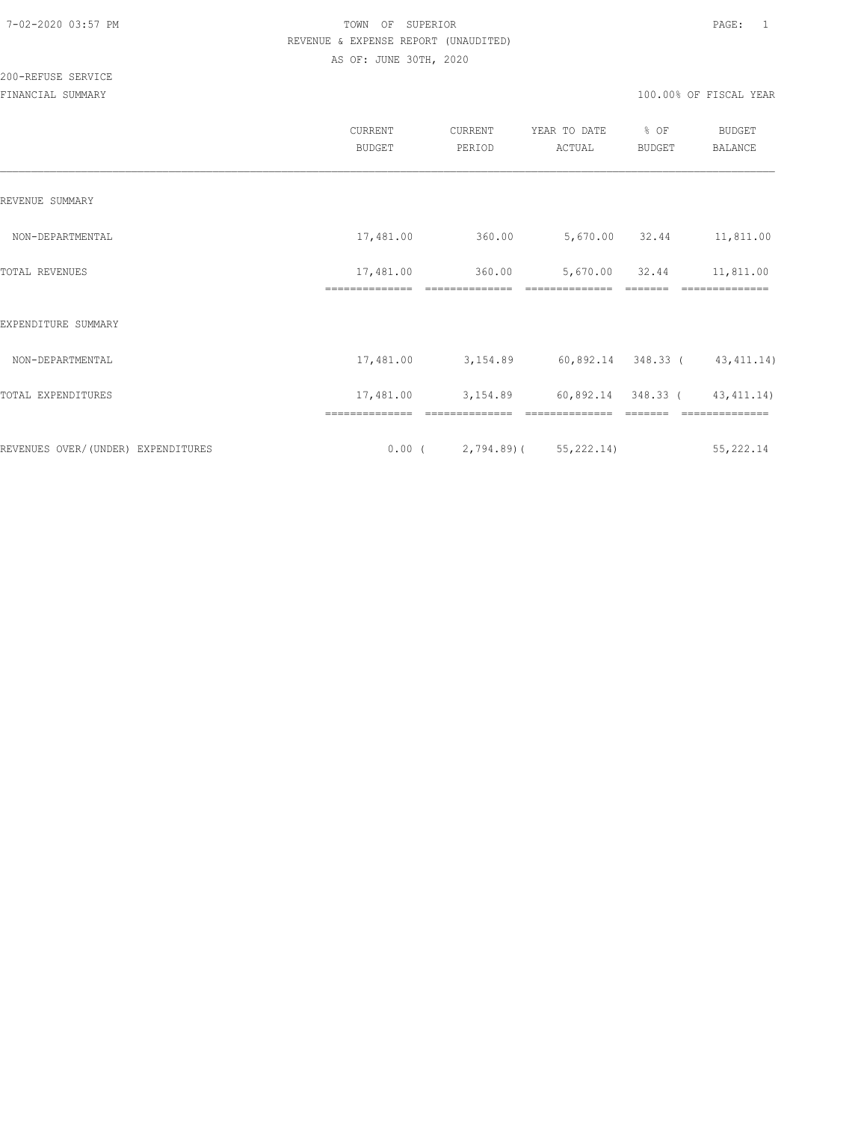|                                    | CURRENT<br><b>BUDGET</b>    | CURRENT<br>PERIOD               | YEAR TO DATE<br>ACTUAL           | % OF<br><b>BUDGET</b> | <b>BUDGET</b><br><b>BALANCE</b> |
|------------------------------------|-----------------------------|---------------------------------|----------------------------------|-----------------------|---------------------------------|
| REVENUE SUMMARY                    |                             |                                 |                                  |                       |                                 |
| NON-DEPARTMENTAL                   | 17,481.00                   | 360.00                          | 5,670.00 32.44                   |                       | 11,811.00                       |
| TOTAL REVENUES                     | 17,481.00<br>============== | 360.00<br>==============        | 5,670.00 32.44<br>============== |                       | 11,811.00<br>=========          |
| EXPENDITURE SUMMARY                |                             |                                 |                                  |                       |                                 |
| NON-DEPARTMENTAL                   | 17,481.00                   | 3,154.89                        | 60,892.14 348.33 (43,411.14)     |                       |                                 |
| TOTAL EXPENDITURES                 | 17,481.00                   | 3,154.89                        | 60,892.14 348.33 (               |                       | 43, 411.14)                     |
| REVENUES OVER/(UNDER) EXPENDITURES |                             | $0.00$ ( 2,794.89) ( 55,222.14) |                                  |                       | 55,222.14                       |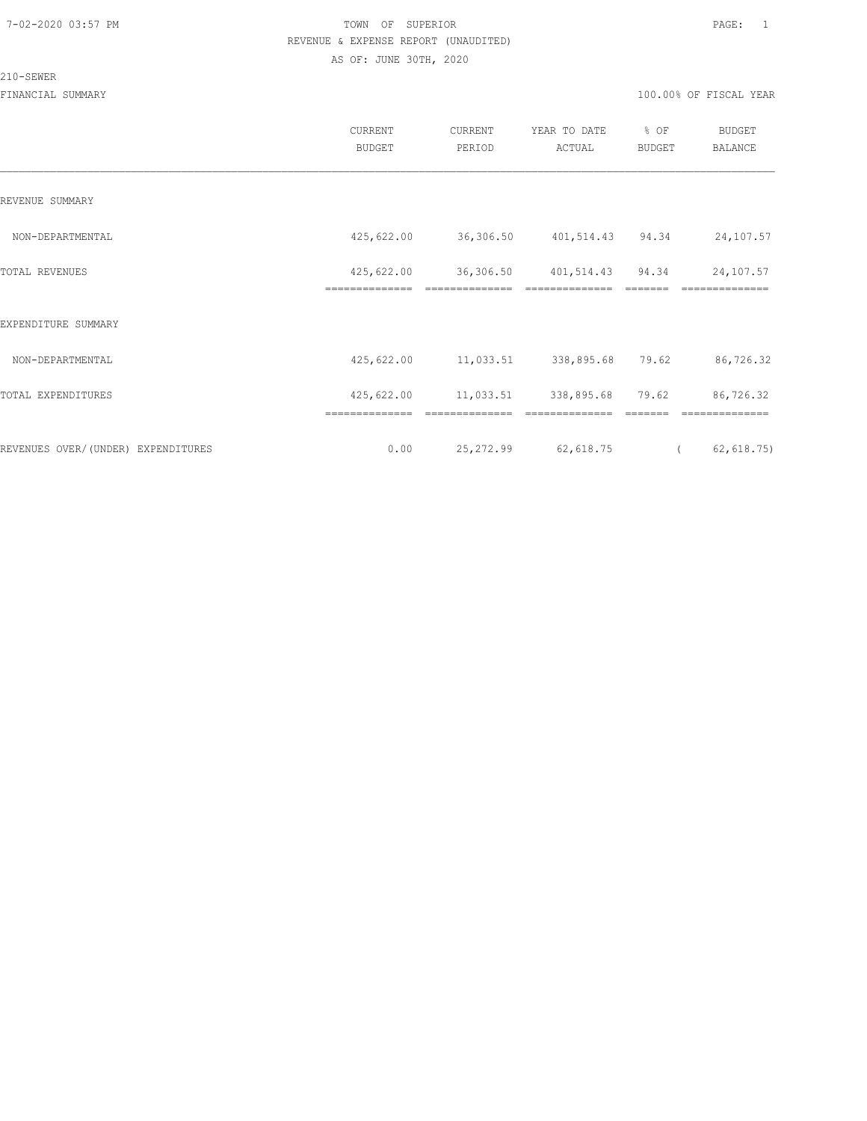#### 210-SEWER

|                                     | CURRENT<br><b>BUDGET</b> | CURRENT<br>PERIOD    | YEAR TO DATE<br>ACTUAL     | % OF<br>BUDGET          | <b>BUDGET</b><br>BALANCE |
|-------------------------------------|--------------------------|----------------------|----------------------------|-------------------------|--------------------------|
| REVENUE SUMMARY                     |                          |                      |                            |                         |                          |
| NON-DEPARTMENTAL                    | 425,622.00               | 36,306.50            | 401,514.43 94.34           |                         | 24,107.57                |
| TOTAL REVENUES                      | 425,622.00               |                      | 36,306.50 401,514.43 94.34 |                         | 24,107.57                |
| EXPENDITURE SUMMARY                 | ==============           | ==============       | ==============             | $=$ $=$ $=$ $=$ $=$ $=$ | ==============           |
| NON-DEPARTMENTAL                    | 425,622.00               |                      | 11,033.51 338,895.68 79.62 |                         | 86,726.32                |
| TOTAL EXPENDITURES                  | 425,622.00               | 11,033.51 338,895.68 |                            | 79.62                   | 86,726.32                |
|                                     |                          |                      |                            |                         |                          |
| REVENUES OVER/ (UNDER) EXPENDITURES | 0.00                     | 25,272.99            | 62,618.75                  | $\sqrt{2}$              | 62,618.75)               |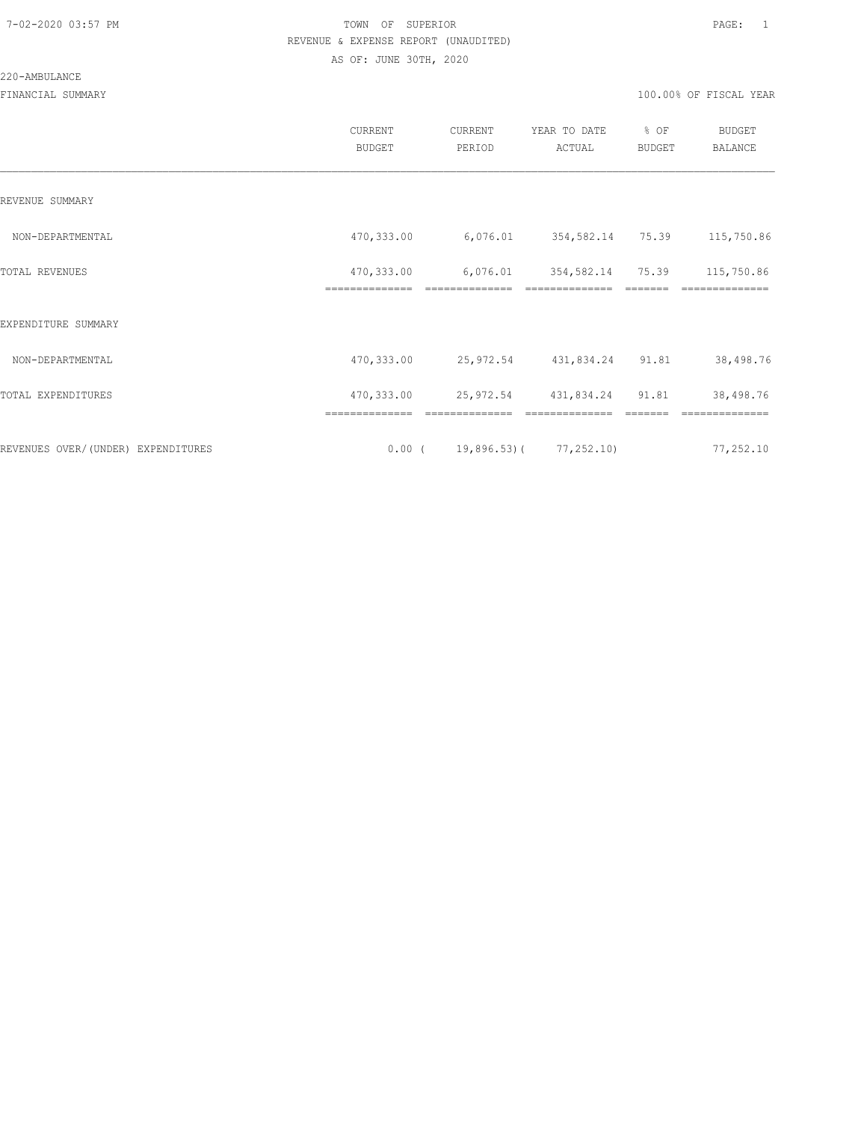220-AMBULANCE

|                                    | CURRENT<br><b>BUDGET</b>     | CURRENT<br>PERIOD                    | YEAR TO DATE<br>ACTUAL | % OF<br><b>BUDGET</b> | <b>BUDGET</b><br><b>BALANCE</b> |
|------------------------------------|------------------------------|--------------------------------------|------------------------|-----------------------|---------------------------------|
| REVENUE SUMMARY                    |                              |                                      |                        |                       |                                 |
| NON-DEPARTMENTAL                   | 470,333.00                   | 6,076.01 354,582.14 75.39 115,750.86 |                        |                       |                                 |
| TOTAL REVENUES                     | 470,333.00<br>============== | 6,076.01 354,582.14 75.39            | ==============         |                       | 115,750.86<br>==============    |
| EXPENDITURE SUMMARY                |                              |                                      |                        |                       |                                 |
| NON-DEPARTMENTAL                   | 470,333.00                   | 25,972.54 431,834.24 91.81 38,498.76 |                        |                       |                                 |
| TOTAL EXPENDITURES                 | 470,333.00                   | 25,972.54 431,834.24 91.81           |                        |                       | 38,498.76                       |
|                                    |                              |                                      |                        |                       |                                 |
| REVENUES OVER/(UNDER) EXPENDITURES |                              | $0.00$ ( 19,896.53) ( 77,252.10)     |                        |                       | 77,252.10                       |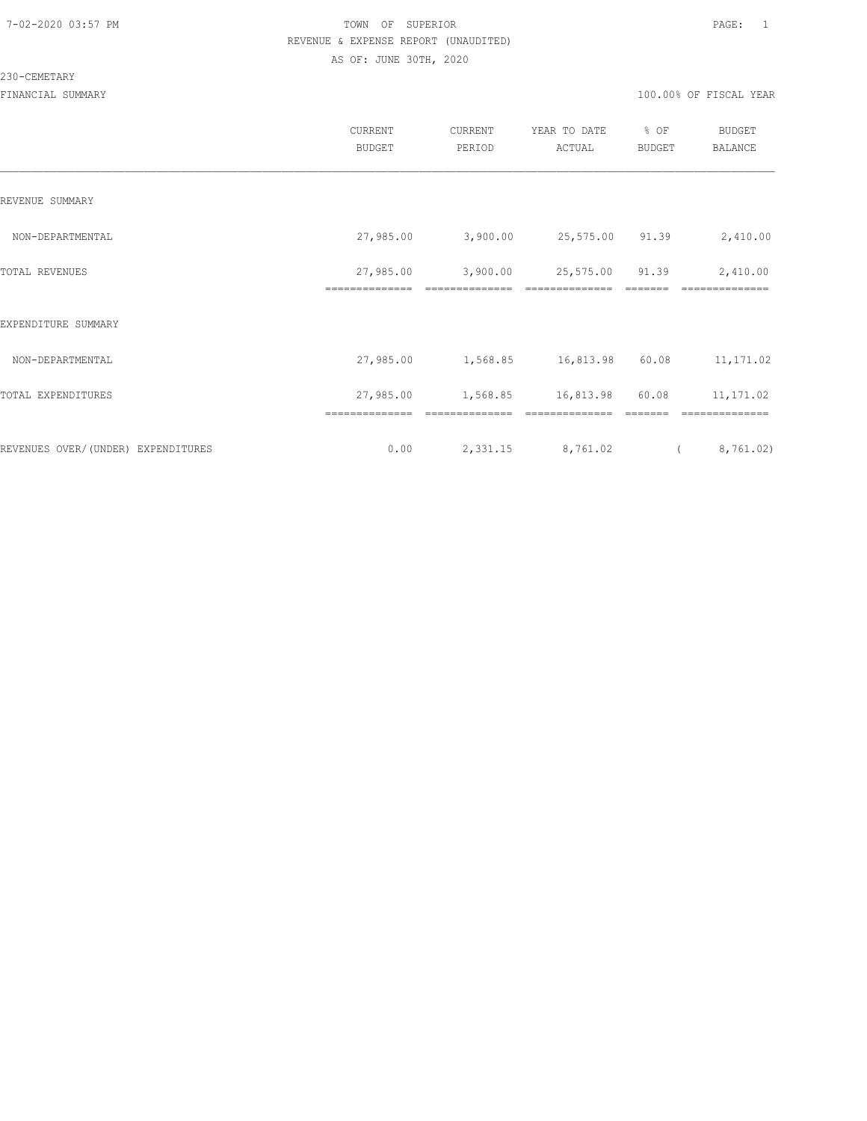#### 230-CEMETARY

|                                    | CURRENT<br><b>BUDGET</b> | CURRENT<br>PERIOD | YEAR TO DATE<br>ACTUAL | % OF<br><b>BUDGET</b> | <b>BUDGET</b><br>BALANCE |
|------------------------------------|--------------------------|-------------------|------------------------|-----------------------|--------------------------|
| REVENUE SUMMARY                    |                          |                   |                        |                       |                          |
| NON-DEPARTMENTAL                   | 27,985.00                | 3,900.00          | 25,575.00 91.39        |                       | 2,410.00                 |
| TOTAL REVENUES                     | 27,985.00                | 3,900.00          | 25,575.00 91.39        |                       | 2,410.00                 |
| EXPENDITURE SUMMARY                | ==============           | ==============    | ==============         |                       | ==============           |
| NON-DEPARTMENTAL                   | 27,985.00                | 1,568.85          | 16,813.98 60.08        |                       | 11,171.02                |
| TOTAL EXPENDITURES                 | 27,985.00                | 1,568.85          | 16,813.98              | 60.08                 | 11,171.02                |
| REVENUES OVER/(UNDER) EXPENDITURES | ==============<br>0.00   | 2,331.15          | 8,761.02               | $\sqrt{2}$            | 8,761.02)                |
|                                    |                          |                   |                        |                       |                          |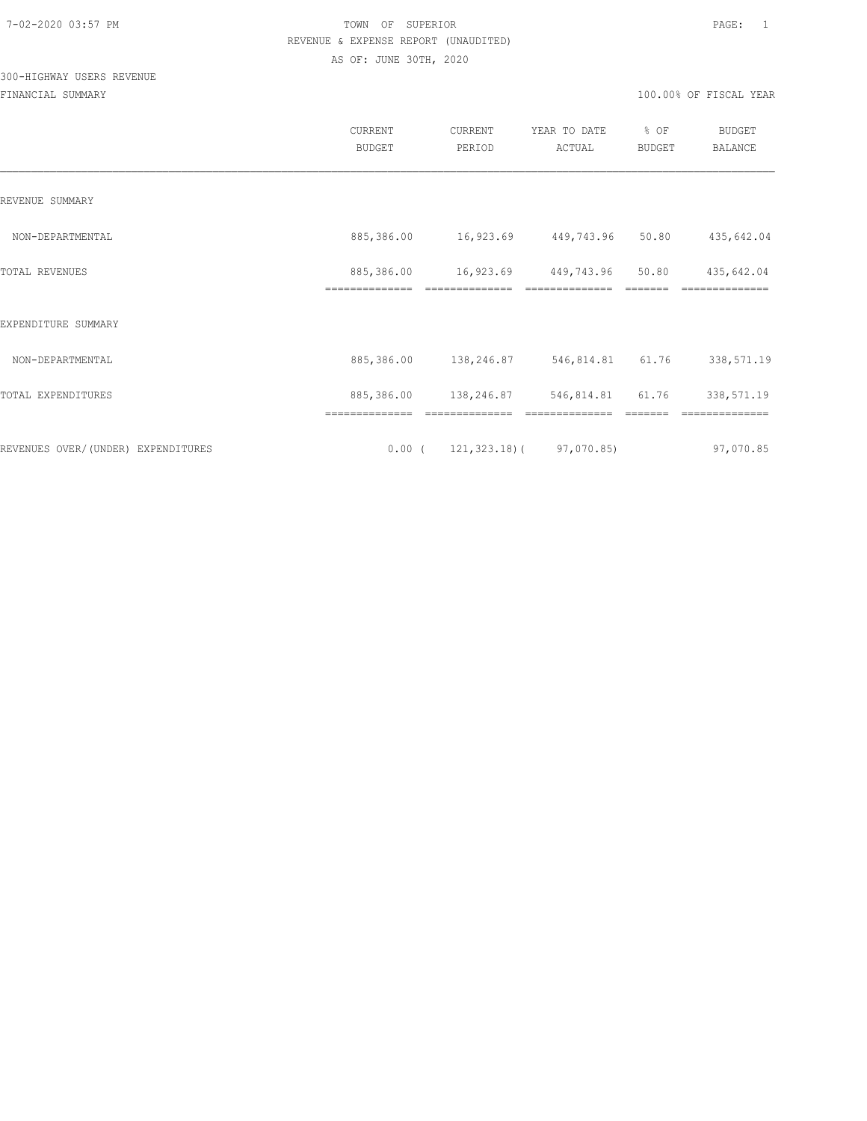# 300-HIGHWAY USERS REVENUE

|                                    | CURRENT<br><b>BUDGET</b>     | CURRENT<br>PERIOD                   | YEAR TO DATE<br>ACTUAL | % OF<br><b>BUDGET</b> | <b>BUDGET</b><br>BALANCE |
|------------------------------------|------------------------------|-------------------------------------|------------------------|-----------------------|--------------------------|
| REVENUE SUMMARY                    |                              |                                     |                        |                       |                          |
| NON-DEPARTMENTAL                   | 885,386.00                   | 16,923.69                           | 449,743.96             | 50.80                 | 435,642.04               |
| TOTAL REVENUES                     | 885,386.00<br>============== | 16,923.69                           | 449,743.96             | 50.80                 | 435,642.04               |
| EXPENDITURE SUMMARY                |                              |                                     |                        |                       |                          |
| NON-DEPARTMENTAL                   | 885,386.00                   | 138,246.87                          | 546,814.81             | 61.76                 | 338,571.19               |
| TOTAL EXPENDITURES                 | 885,386.00                   | 138,246.87                          | 546,814.81             | 61.76                 | 338,571.19               |
|                                    |                              |                                     |                        |                       |                          |
| REVENUES OVER/(UNDER) EXPENDITURES |                              | $0.00$ ( 121, 323.18) ( 97, 070.85) |                        |                       | 97,070.85                |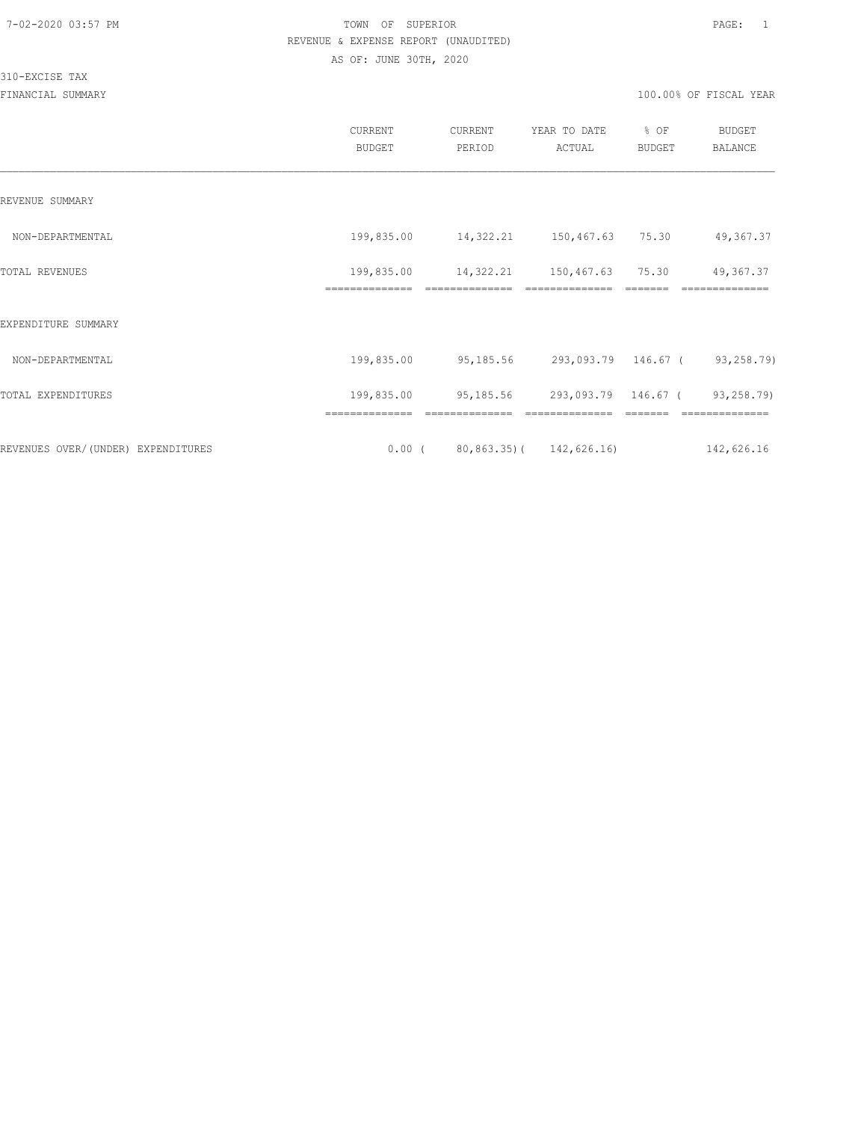310-EXCISE TAX

| CURRENT<br><b>BUDGET</b> | CURRENT<br>PERIOD | YEAR TO DATE<br>ACTUAL | % OF<br><b>BUDGET</b>                                     | <b>BUDGET</b><br><b>BALANCE</b>                                                                                                                                            |
|--------------------------|-------------------|------------------------|-----------------------------------------------------------|----------------------------------------------------------------------------------------------------------------------------------------------------------------------------|
|                          |                   |                        |                                                           |                                                                                                                                                                            |
|                          |                   |                        |                                                           | 49,367.37                                                                                                                                                                  |
|                          |                   |                        |                                                           | 49,367.37<br>==============                                                                                                                                                |
|                          |                   |                        |                                                           |                                                                                                                                                                            |
| 199,835.00               |                   |                        |                                                           |                                                                                                                                                                            |
| 199,835.00               |                   |                        |                                                           |                                                                                                                                                                            |
|                          |                   |                        |                                                           | 142,626.16                                                                                                                                                                 |
|                          | ==============    | ==============         | ==============<br>$0.00$ ( $80,863,35$ ) ( $142,626,16$ ) | 199,835.00  14,322.21  150,467.63  75.30<br>199,835.00  14,322.21  150,467.63  75.30<br>95,185.56 293,093.79 146.67 (93,258.79)<br>95,185.56 293,093.79 146.67 (93,258.79) |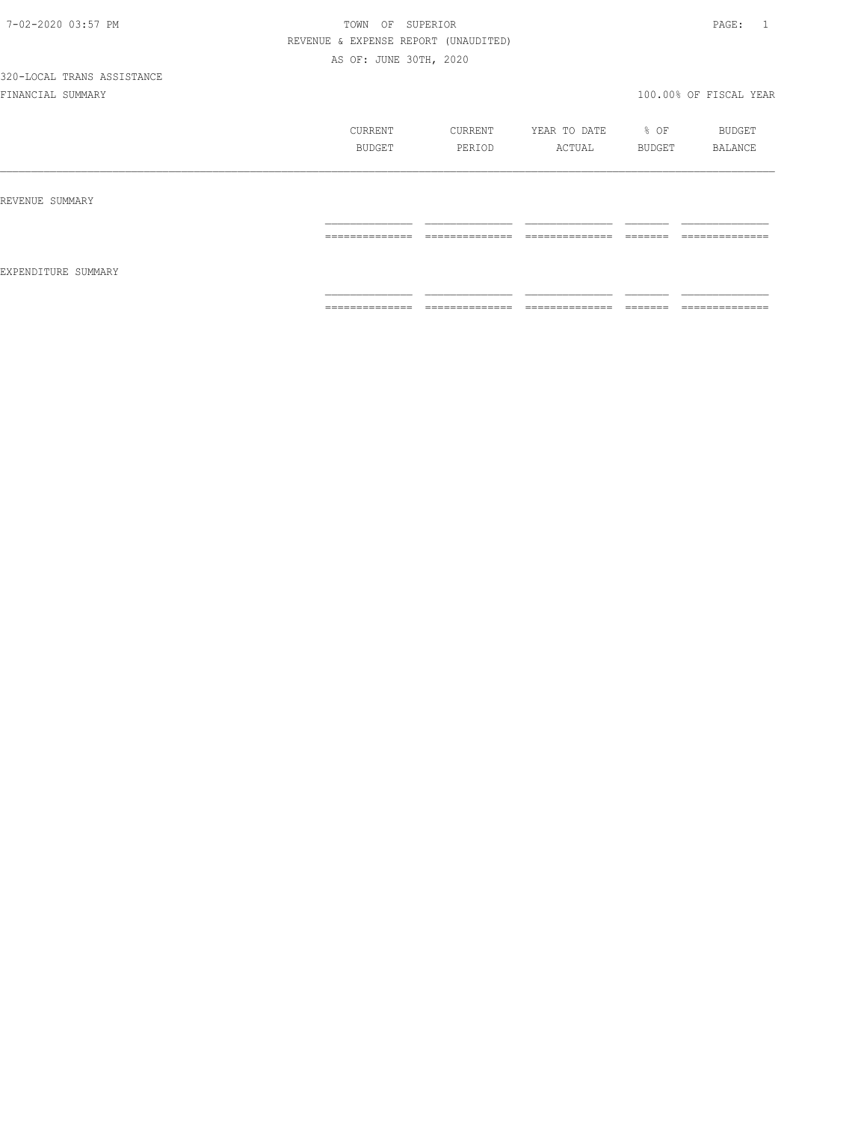|                     | CURRENT        | CURRENT         | YEAR TO DATE    | % OF           | BUDGET          |
|---------------------|----------------|-----------------|-----------------|----------------|-----------------|
|                     | <b>BUDGET</b>  | PERIOD          | ACTUAL          | <b>BUDGET</b>  | <b>BALANCE</b>  |
| REVENUE SUMMARY     |                |                 |                 |                |                 |
| EXPENDITURE SUMMARY | -------------- | --------------- | --------------  | --------       | --------------  |
|                     | .              | _______________ | _______________ | ________       | _______________ |
|                     | ============== | ==============  | ==============  | <b>COOCOCO</b> | ==============  |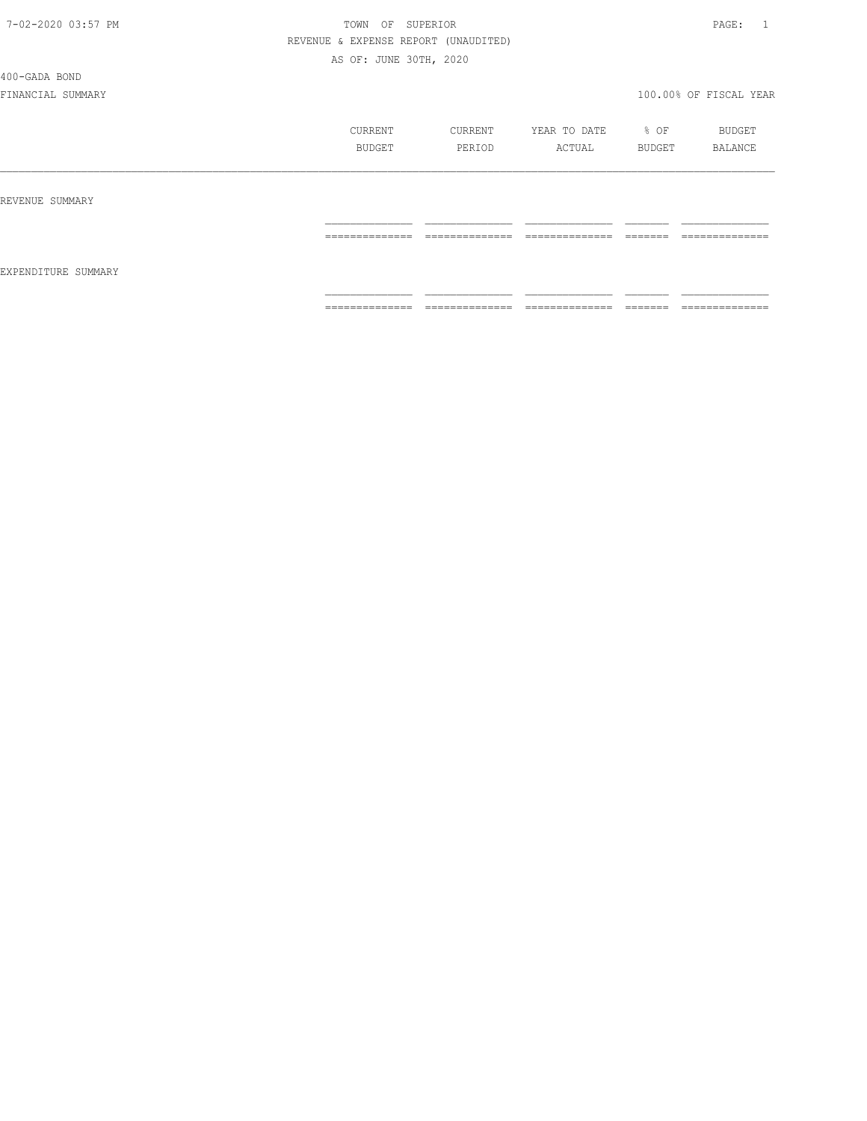#### 400-GADA BOND

|                     | CURRENT<br><b>BUDGET</b>                                                                                                                                                                                                                                                                                                                                                                                                                                                               | CURRENT<br>PERIOD                                                                                                                                                                                                                                                                                                                                                                                                                                             | YEAR TO DATE<br>ACTUAL | % OF<br>BUDGET      | BUDGET<br>BALANCE                                                                                                                                                                                                                                                                                                                                                                                                                                                                            |
|---------------------|----------------------------------------------------------------------------------------------------------------------------------------------------------------------------------------------------------------------------------------------------------------------------------------------------------------------------------------------------------------------------------------------------------------------------------------------------------------------------------------|---------------------------------------------------------------------------------------------------------------------------------------------------------------------------------------------------------------------------------------------------------------------------------------------------------------------------------------------------------------------------------------------------------------------------------------------------------------|------------------------|---------------------|----------------------------------------------------------------------------------------------------------------------------------------------------------------------------------------------------------------------------------------------------------------------------------------------------------------------------------------------------------------------------------------------------------------------------------------------------------------------------------------------|
| REVENUE SUMMARY     |                                                                                                                                                                                                                                                                                                                                                                                                                                                                                        |                                                                                                                                                                                                                                                                                                                                                                                                                                                               |                        |                     |                                                                                                                                                                                                                                                                                                                                                                                                                                                                                              |
| EXPENDITURE SUMMARY | $\begin{array}{cccccccccc} \multicolumn{2}{c}{} & \multicolumn{2}{c}{} & \multicolumn{2}{c}{} & \multicolumn{2}{c}{} & \multicolumn{2}{c}{} & \multicolumn{2}{c}{} & \multicolumn{2}{c}{} & \multicolumn{2}{c}{} & \multicolumn{2}{c}{} & \multicolumn{2}{c}{} & \multicolumn{2}{c}{} & \multicolumn{2}{c}{} & \multicolumn{2}{c}{} & \multicolumn{2}{c}{} & \multicolumn{2}{c}{} & \multicolumn{2}{c}{} & \multicolumn{2}{c}{} & \multicolumn{2}{c}{} & \multicolumn{2}{c}{} & \mult$ | $\begin{array}{c} \multicolumn{2}{c} {\textbf{2.5}} \multicolumn{2}{c} {\textbf{2.5}} \multicolumn{2}{c} {\textbf{2.5}} \multicolumn{2}{c} {\textbf{2.5}} \multicolumn{2}{c} {\textbf{2.5}} \multicolumn{2}{c} {\textbf{2.5}} \multicolumn{2}{c} {\textbf{2.5}} \multicolumn{2}{c} {\textbf{2.5}} \multicolumn{2}{c} {\textbf{2.5}} \multicolumn{2}{c} {\textbf{2.5}} \multicolumn{2}{c} {\textbf{2.5}} \multicolumn{2}{c} {\textbf{2.5}} \multicolumn{2}{c}$ | ==============         | --------<br>_______ | ==============                                                                                                                                                                                                                                                                                                                                                                                                                                                                               |
|                     | $\begin{array}{cccccccccc} \multicolumn{2}{c}{} & \multicolumn{2}{c}{} & \multicolumn{2}{c}{} & \multicolumn{2}{c}{} & \multicolumn{2}{c}{} & \multicolumn{2}{c}{} & \multicolumn{2}{c}{} & \multicolumn{2}{c}{} & \multicolumn{2}{c}{} & \multicolumn{2}{c}{} & \multicolumn{2}{c}{} & \multicolumn{2}{c}{} & \multicolumn{2}{c}{} & \multicolumn{2}{c}{} & \multicolumn{2}{c}{} & \multicolumn{2}{c}{} & \multicolumn{2}{c}{} & \multicolumn{2}{c}{} & \multicolumn{2}{c}{} & \mult$ | $2222222222222222$                                                                                                                                                                                                                                                                                                                                                                                                                                            | ==============         |                     | $\begin{array}{c} \multicolumn{2}{c} {\textbf{1}} & \multicolumn{2}{c} {\textbf{2}} & \multicolumn{2}{c} {\textbf{3}} & \multicolumn{2}{c} {\textbf{4}} \\ \multicolumn{2}{c} {\textbf{5}} & \multicolumn{2}{c} {\textbf{6}} & \multicolumn{2}{c} {\textbf{7}} & \multicolumn{2}{c} {\textbf{8}} & \multicolumn{2}{c} {\textbf{9}} \\ \multicolumn{2}{c} {\textbf{6}} & \multicolumn{2}{c} {\textbf{7}} & \multicolumn{2}{c} {\textbf{8}} & \multicolumn{2}{c} {\textbf{9}} & \multicolumn{$ |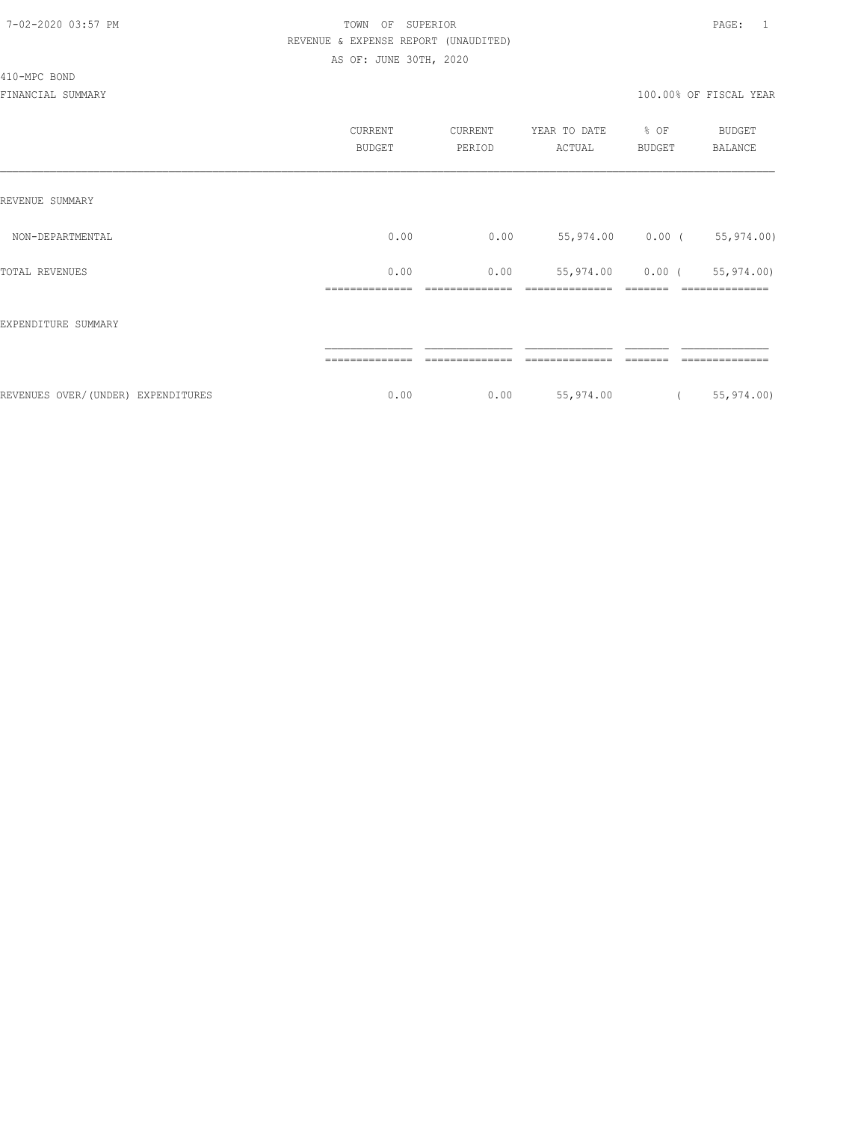#### 410-MPC BOND

|                                    | CURRENT<br><b>BUDGET</b> | CURRENT<br>PERIOD | YEAR TO DATE<br>ACTUAL | % OF<br><b>BUDGET</b> | <b>BUDGET</b><br><b>BALANCE</b> |
|------------------------------------|--------------------------|-------------------|------------------------|-----------------------|---------------------------------|
| REVENUE SUMMARY                    |                          |                   |                        |                       |                                 |
| NON-DEPARTMENTAL                   | 0.00                     | 0.00              |                        | 55,974.00 0.00 (      | 55,974.00)                      |
| TOTAL REVENUES                     | 0.00                     | 0.00              | 55,974.00              | $0.00$ (              | 55,974.00)<br>----------        |
| EXPENDITURE SUMMARY                |                          |                   |                        |                       |                                 |
|                                    | ---------------          |                   |                        |                       | ----------                      |
| REVENUES OVER/(UNDER) EXPENDITURES | 0.00                     | 0.00              | 55,974.00              |                       | 55,974.00)                      |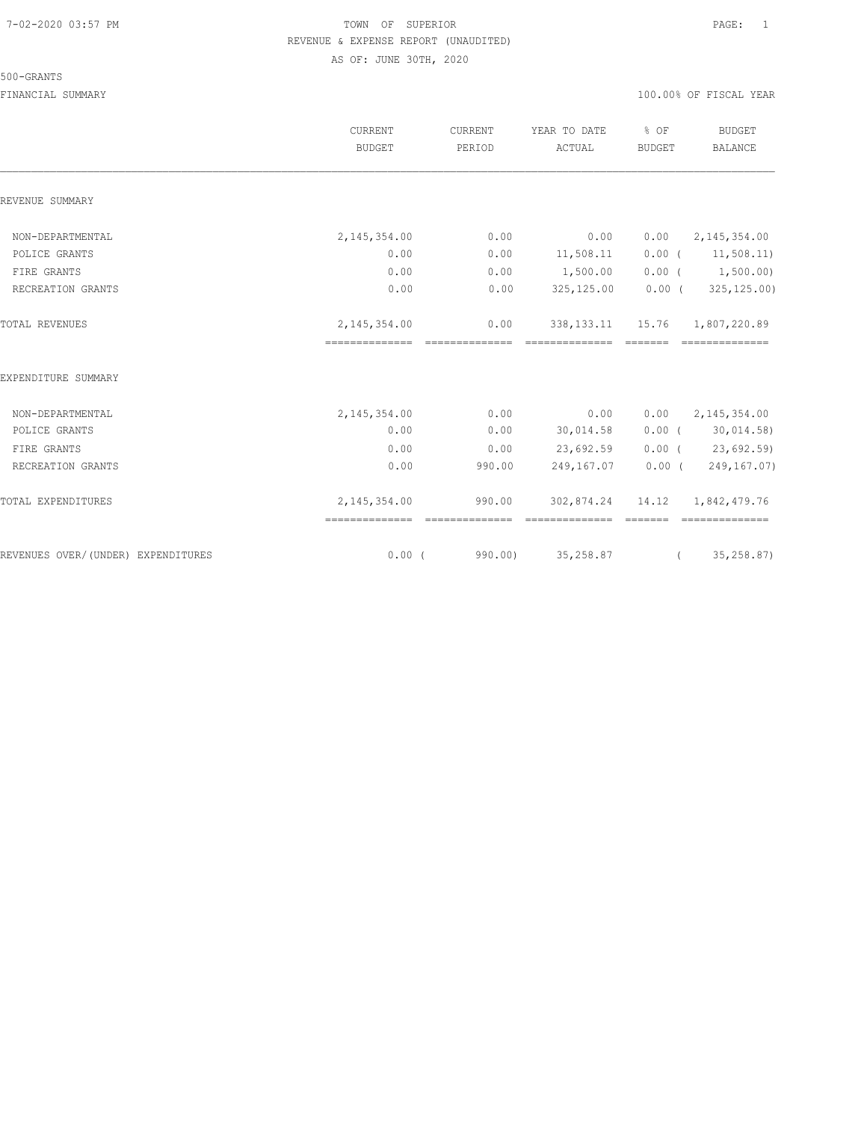#### 500-GRANTS

|                                    | <b>CURRENT</b><br><b>BUDGET</b>  | CURRENT<br>PERIOD        | YEAR TO DATE<br>ACTUAL                                                                                                                                                                                                                                                                                                                                                                                                                                                                                                | % OF<br><b>BUDGET</b> | <b>BUDGET</b><br><b>BALANCE</b> |
|------------------------------------|----------------------------------|--------------------------|-----------------------------------------------------------------------------------------------------------------------------------------------------------------------------------------------------------------------------------------------------------------------------------------------------------------------------------------------------------------------------------------------------------------------------------------------------------------------------------------------------------------------|-----------------------|---------------------------------|
| REVENUE SUMMARY                    |                                  |                          |                                                                                                                                                                                                                                                                                                                                                                                                                                                                                                                       |                       |                                 |
| NON-DEPARTMENTAL                   | 2, 145, 354.00                   | 0.00                     | 0.00                                                                                                                                                                                                                                                                                                                                                                                                                                                                                                                  | 0.00                  | 2, 145, 354.00                  |
| POLICE GRANTS                      | 0.00                             | 0.00                     | 11,508.11                                                                                                                                                                                                                                                                                                                                                                                                                                                                                                             |                       | $0.00$ ( $11,508.11$ )          |
| FIRE GRANTS                        | 0.00                             | 0.00                     | 1,500.00                                                                                                                                                                                                                                                                                                                                                                                                                                                                                                              | $0.00$ (              | 1,500.00)                       |
| RECREATION GRANTS                  | 0.00                             | 0.00                     | 325,125.00                                                                                                                                                                                                                                                                                                                                                                                                                                                                                                            | $0.00$ (              | 325,125.00)                     |
| TOTAL REVENUES                     | 2,145,354.00<br>==============   | 0.00<br>--------------   | 338, 133. 11<br>==============                                                                                                                                                                                                                                                                                                                                                                                                                                                                                        | 15.76<br>--------     | 1,807,220.89<br>==============  |
| EXPENDITURE SUMMARY                |                                  |                          |                                                                                                                                                                                                                                                                                                                                                                                                                                                                                                                       |                       |                                 |
| NON-DEPARTMENTAL                   | 2, 145, 354.00                   | 0.00                     | 0.00                                                                                                                                                                                                                                                                                                                                                                                                                                                                                                                  | 0.00                  | 2, 145, 354.00                  |
| POLICE GRANTS                      | 0.00                             | 0.00                     | 30,014.58                                                                                                                                                                                                                                                                                                                                                                                                                                                                                                             |                       | $0.00$ ( 30,014.58)             |
| FIRE GRANTS                        | 0.00                             | 0.00                     | 23,692.59                                                                                                                                                                                                                                                                                                                                                                                                                                                                                                             |                       | $0.00$ ( 23,692.59)             |
| RECREATION GRANTS                  | 0.00                             | 990.00                   | 249,167.07                                                                                                                                                                                                                                                                                                                                                                                                                                                                                                            | $0.00$ (              | 249,167.07)                     |
| TOTAL EXPENDITURES                 | 2, 145, 354.00<br>============== | 990.00<br>essessessesses | 302,874.24<br>$\begin{array}{cccccc} \multicolumn{2}{c}{{\color{red}{{\mathbf{x}}}}} & \multicolumn{2}{c}{{\color{red}{{\mathbf{x}}}}} & \multicolumn{2}{c}{{\color{red}{{\mathbf{x}}}}} & \multicolumn{2}{c}{{\color{red}{{\mathbf{x}}}}} & \multicolumn{2}{c}{{\color{red}{{\mathbf{x}}}}} & \multicolumn{2}{c}{{\color{red}{{\mathbf{x}}}}} & \multicolumn{2}{c}{{\color{red}{{\mathbf{x}}}}} & \multicolumn{2}{c}{{\color{red}{{\mathbf{x}}}}} & \multicolumn{2}{c}{{\color{red}{{\mathbf{x}}}}} & \multicolumn{$ | 14.12                 | 1,842,479.76                    |
| REVENUES OVER/(UNDER) EXPENDITURES | $0.00$ (                         | 990.00)                  | 35,258.87                                                                                                                                                                                                                                                                                                                                                                                                                                                                                                             | $\overline{a}$        | 35,258.87)                      |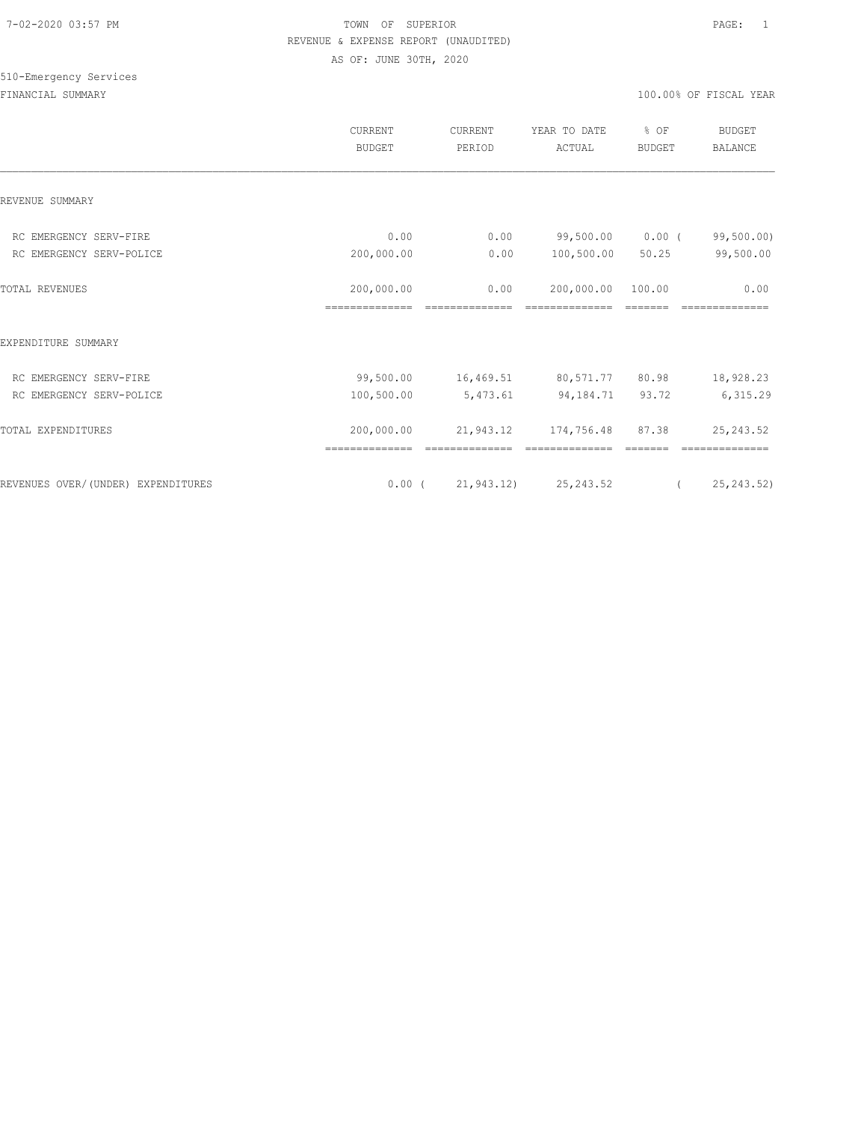# 510-Emergency Services

|                                    | CURRENT<br><b>BUDGET</b> | CURRENT<br>PERIOD | YEAR TO DATE<br>ACTUAL           | % OF<br><b>BUDGET</b> | <b>BUDGET</b><br><b>BALANCE</b> |
|------------------------------------|--------------------------|-------------------|----------------------------------|-----------------------|---------------------------------|
| REVENUE SUMMARY                    |                          |                   |                                  |                       |                                 |
| RC EMERGENCY SERV-FIRE             | 0.00                     | 0.00              | 99,500.00                        | $0.00$ (              | 99,500.00)                      |
| RC EMERGENCY SERV-POLICE           | 200,000.00               | 0.00              | 100,500.00                       | 50.25                 | 99,500.00                       |
| TOTAL REVENUES                     | 200,000.00               | 0.00              | 200,000.00                       | 100.00                | 0.00                            |
| EXPENDITURE SUMMARY                |                          |                   |                                  |                       |                                 |
| RC EMERGENCY SERV-FIRE             | 99,500.00                |                   | 16,469.51 80,571.77 80.98        |                       | 18,928.23                       |
| RC EMERGENCY SERV-POLICE           | 100,500.00               | 5,473.61          | 94,184.71                        | 93.72                 | 6,315.29                        |
| TOTAL EXPENDITURES                 | 200,000.00               | 21,943.12         | 174,756.48                       | 87.38                 | 25, 243.52                      |
| REVENUES OVER/(UNDER) EXPENDITURES |                          |                   | $0.00$ ( $21,943.12$ ) 25,243.52 |                       | 25,243.52)<br>$\left($          |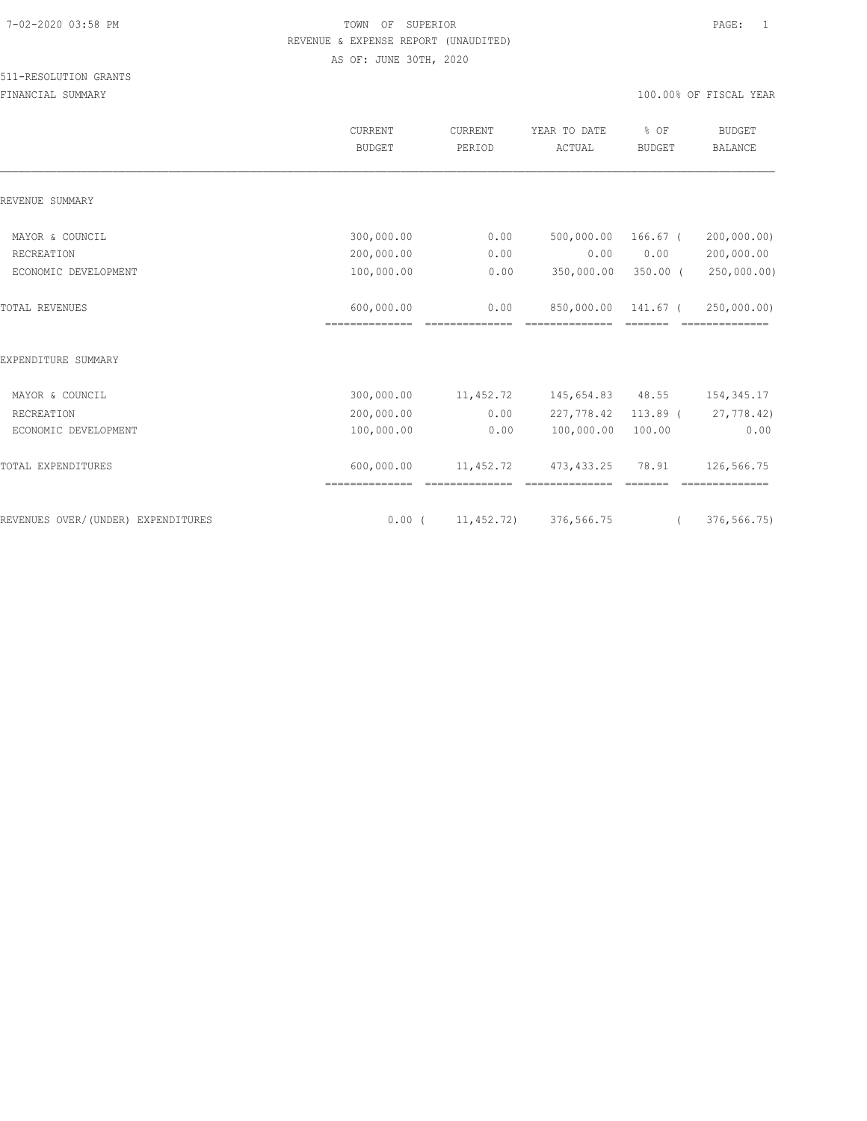|                                    | <b>CURRENT</b><br><b>BUDGET</b> | <b>CURRENT</b><br>PERIOD | YEAR TO DATE<br>ACTUAL            | % OF<br><b>BUDGET</b> | <b>BUDGET</b><br><b>BALANCE</b> |
|------------------------------------|---------------------------------|--------------------------|-----------------------------------|-----------------------|---------------------------------|
| REVENUE SUMMARY                    |                                 |                          |                                   |                       |                                 |
| MAYOR & COUNCIL                    | 300,000.00                      | 0.00                     | 500,000.00                        | $166.67$ (            | 200,000.00)                     |
| RECREATION                         | 200,000.00                      | 0.00                     | 0.00                              | 0.00                  | 200,000.00                      |
| ECONOMIC DEVELOPMENT               | 100,000.00                      | 0.00                     | 350,000.00                        | $350.00$ (            | 250,000.00)                     |
| <b>TOTAL REVENUES</b>              | 600,000.00<br>==============    | 0.00                     | 850,000.00                        | 141.67 (              | 250,000.00)                     |
| EXPENDITURE SUMMARY                |                                 |                          |                                   |                       |                                 |
| MAYOR & COUNCIL                    | 300,000.00                      | 11,452.72                | 145,654.83                        | 48.55                 | 154,345.17                      |
| RECREATION                         | 200,000.00                      | 0.00                     | 227,778.42                        | $113.89$ (            | 27,778.42)                      |
| ECONOMIC DEVELOPMENT               | 100,000.00                      | 0.00                     | 100,000.00                        | 100.00                | 0.00                            |
| TOTAL EXPENDITURES                 | 600,000.00                      | 11,452.72                | 473, 433.25                       | 78.91                 | 126,566.75                      |
| REVENUES OVER/(UNDER) EXPENDITURES |                                 |                          | $0.00$ ( $11,452.72$ ) 376,566.75 | $\left($              | 376,566.75)                     |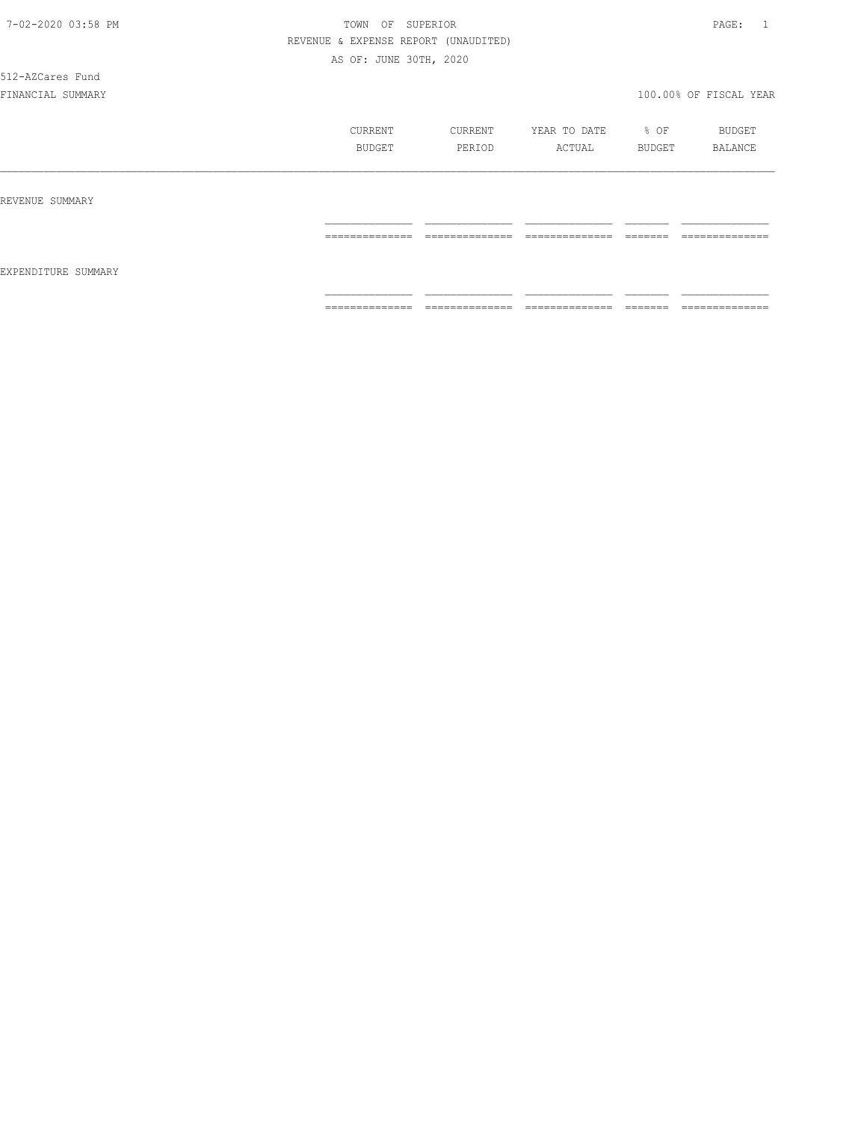512-AZCares Fund

|                     | CURRENT<br>BUDGET | CURRENT<br>PERIOD                  | YEAR TO DATE<br>ACTUAL             | $\div$ OF<br>BUDGET | BUDGET<br>BALANCE                  |
|---------------------|-------------------|------------------------------------|------------------------------------|---------------------|------------------------------------|
| REVENUE SUMMARY     |                   |                                    |                                    |                     |                                    |
| EXPENDITURE SUMMARY | ==============    | --------------<br>---------------  | ---------------<br>--------------- | --------<br>------- | --------------<br>---------------  |
|                     | ==============    | ---------------<br>--------------- | ---------------<br>--------------- | -------<br>-------  | --------------<br>---------------- |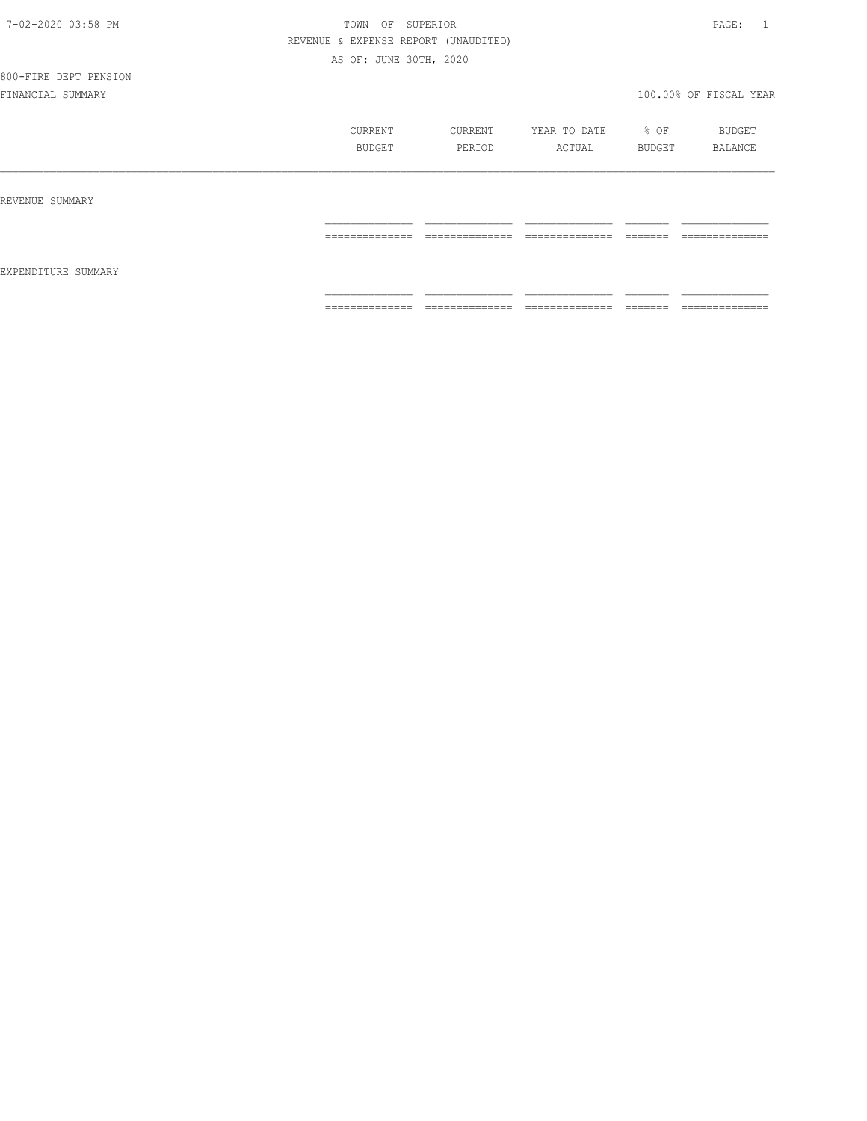| 7-02-2020 03:58 PM |  |
|--------------------|--|
|                    |  |

# TOWN OF SUPERIOR **PAGE:** 1 REVENUE & EXPENSE REPORT (UNAUDITED) AS OF: JUNE 30TH, 2020

|                     | CURRENT<br>BUDGET | CURRENT<br>PERIOD                 | YEAR TO DATE<br>ACTUAL             | % OF<br>BUDGET                                                                                                                                                                                                                                                                                                                                                                                                                                         | BUDGET<br>BALANCE                 |
|---------------------|-------------------|-----------------------------------|------------------------------------|--------------------------------------------------------------------------------------------------------------------------------------------------------------------------------------------------------------------------------------------------------------------------------------------------------------------------------------------------------------------------------------------------------------------------------------------------------|-----------------------------------|
| REVENUE SUMMARY     |                   |                                   |                                    |                                                                                                                                                                                                                                                                                                                                                                                                                                                        |                                   |
| EXPENDITURE SUMMARY | ==============    | ==============                    | _______________<br>--------------- | $\begin{tabular}{ll} \multicolumn{2}{c}{\textbf{2.5}} & \multicolumn{2}{c}{\textbf{2.5}} & \multicolumn{2}{c}{\textbf{2.5}} \\ \multicolumn{2}{c}{\textbf{2.5}} & \multicolumn{2}{c}{\textbf{2.5}} & \multicolumn{2}{c}{\textbf{2.5}} \\ \multicolumn{2}{c}{\textbf{3.5}} & \multicolumn{2}{c}{\textbf{4.5}} & \multicolumn{2}{c}{\textbf{5.5}} \\ \multicolumn{2}{c}{\textbf{5.5}} & \multicolumn{2}{c}{\textbf{6.5}} & \multicolumn{2}{c}{\textbf{7$ | --------------                    |
|                     | ==============    | --------------<br>_______________ | --------------                     |                                                                                                                                                                                                                                                                                                                                                                                                                                                        | ---------------<br>______________ |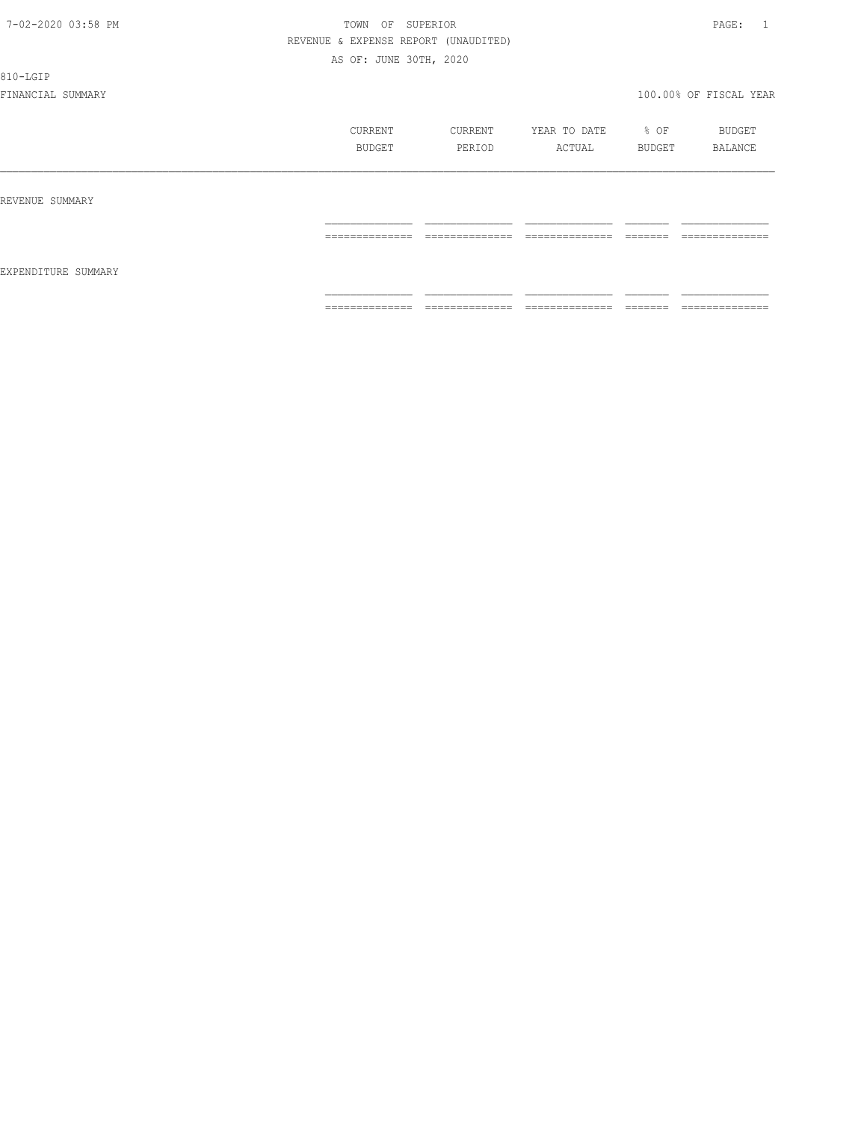810-LGIP

|                     | CURRENT<br>BUDGET | CURRENT<br>PERIOD   | YEAR TO DATE<br>ACTUAL          | % OF<br>BUDGET       | BUDGET<br>BALANCE                 |
|---------------------|-------------------|---------------------|---------------------------------|----------------------|-----------------------------------|
| REVENUE SUMMARY     | ==============    | ______________<br>. | ______________<br>------------- | -------<br>======    | --------------<br>-------------   |
| EXPENDITURE SUMMARY |                   |                     |                                 |                      |                                   |
|                     | ==============    | --------------<br>. | ---------------<br>.            | --------<br>________ | --------------<br>_______________ |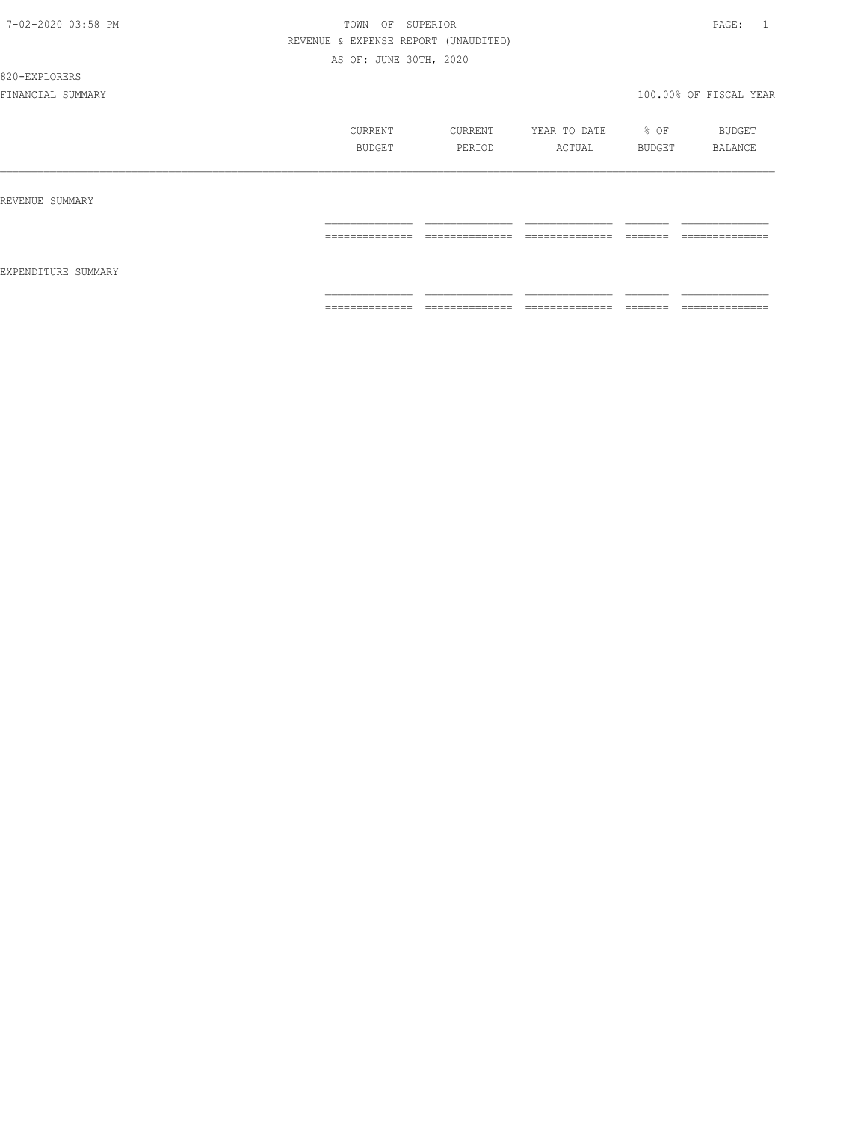820-EXPLORERS

|                     | CURRENT<br>BUDGET                                                                                                                                                                                                                                                                                                                                                                                                                                                                            | CURRENT<br>PERIOD                 | YEAR TO DATE<br>ACTUAL        | $\div$ OF<br>BUDGET | BUDGET<br>BALANCE                  |
|---------------------|----------------------------------------------------------------------------------------------------------------------------------------------------------------------------------------------------------------------------------------------------------------------------------------------------------------------------------------------------------------------------------------------------------------------------------------------------------------------------------------------|-----------------------------------|-------------------------------|---------------------|------------------------------------|
| REVENUE SUMMARY     |                                                                                                                                                                                                                                                                                                                                                                                                                                                                                              |                                   |                               |                     |                                    |
|                     | ______________<br>----------------                                                                                                                                                                                                                                                                                                                                                                                                                                                           | ______________<br>.               | ______________<br>----------- | --------<br>======  | ______________<br>--------------   |
| EXPENDITURE SUMMARY |                                                                                                                                                                                                                                                                                                                                                                                                                                                                                              |                                   |                               |                     |                                    |
|                     | $\begin{array}{c} \multicolumn{2}{c} {\textbf{1}} & \multicolumn{2}{c} {\textbf{2}} & \multicolumn{2}{c} {\textbf{3}} & \multicolumn{2}{c} {\textbf{4}} \\ \multicolumn{2}{c} {\textbf{2}} & \multicolumn{2}{c} {\textbf{3}} & \multicolumn{2}{c} {\textbf{4}} & \multicolumn{2}{c} {\textbf{5}} & \multicolumn{2}{c} {\textbf{6}} \\ \multicolumn{2}{c} {\textbf{4}} & \multicolumn{2}{c} {\textbf{5}} & \multicolumn{2}{c} {\textbf{6}} & \multicolumn{2}{c} {\textbf{6}} & \multicolumn{$ | ______________<br>_______________ | ==============                | --------<br>------- | ______________<br>---------------- |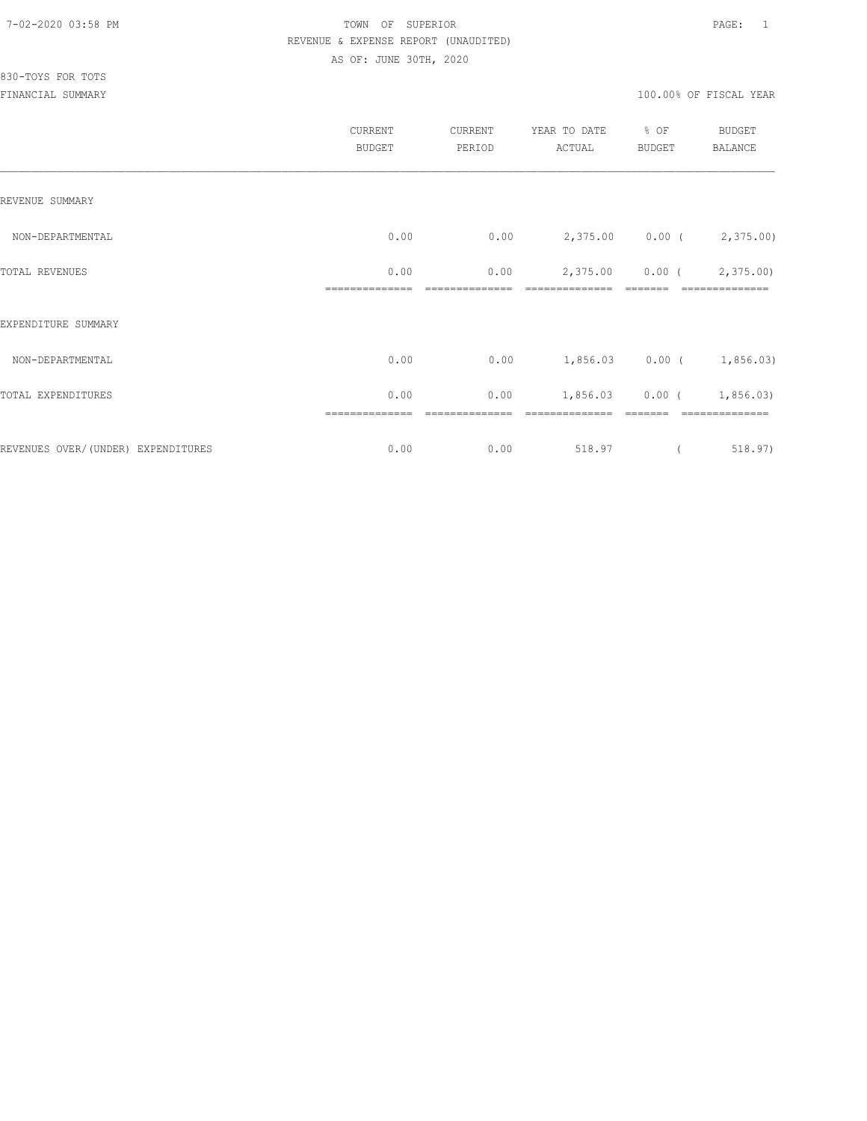# 830-TOYS FOR TOTS

| CURRENT<br><b>BUDGET</b> | CURRENT<br>PERIOD | YEAR TO DATE<br>ACTUAL | % OF<br>BUDGET | BUDGET<br>BALANCE                                                                |
|--------------------------|-------------------|------------------------|----------------|----------------------------------------------------------------------------------|
|                          |                   |                        |                |                                                                                  |
| 0.00                     | 0.00              |                        |                |                                                                                  |
| 0.00                     | 0.00              | 2,375.00               |                | $0.00$ ( $2,375.00$ )                                                            |
|                          |                   |                        |                |                                                                                  |
| 0.00                     | 0.00              |                        |                |                                                                                  |
| 0.00                     | 0.00              | 1,856.03               |                |                                                                                  |
| 0.00                     | 0.00              | 518.97                 |                | 518.97)                                                                          |
|                          |                   |                        |                | 2,375.00 0.00 (2,375.00)<br>$1,856.03$ 0.00 ( 1,856.03)<br>$0.00$ ( $1,856.03$ ) |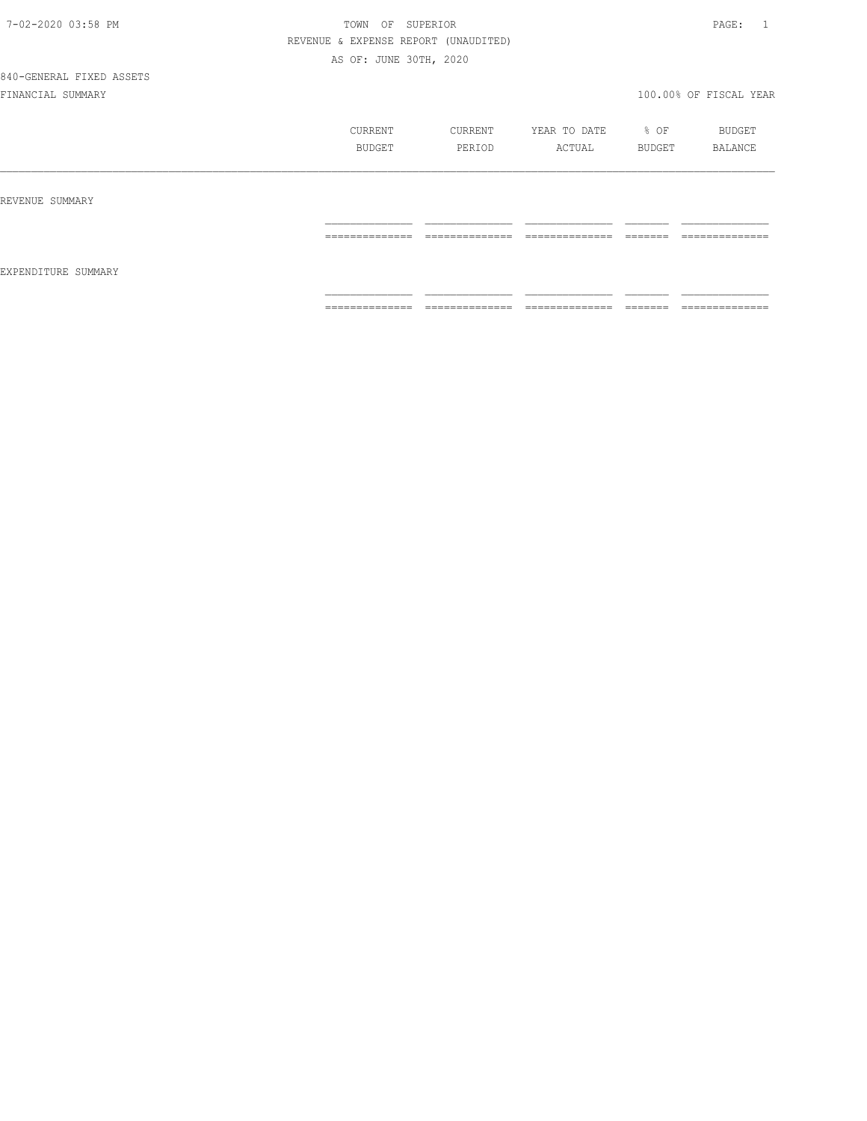| 7-02-2020 03:58 PM |  |
|--------------------|--|
|                    |  |

# TOWN OF SUPERIOR **PAGE:** 1 REVENUE & EXPENSE REPORT (UNAUDITED) AS OF: JUNE 30TH, 2020

|                     | CURRENT<br>BUDGET | CURRENT<br>PERIOD | YEAR TO DATE % OF<br>ACTUAL | BUDGET   | BUDGET<br>BALANCE |
|---------------------|-------------------|-------------------|-----------------------------|----------|-------------------|
| REVENUE SUMMARY     |                   |                   |                             |          |                   |
| EXPENDITURE SUMMARY | --------------    | --------------    | ---------------             | -------- | --------------    |
|                     | _______________   | _______________   | _______________             | ________ | _______________   |
|                     | --------------    | --------------    | ---------------             | -------  | ---------------   |
|                     | ______________    | _______________   | _______________             | ________ | ______________    |